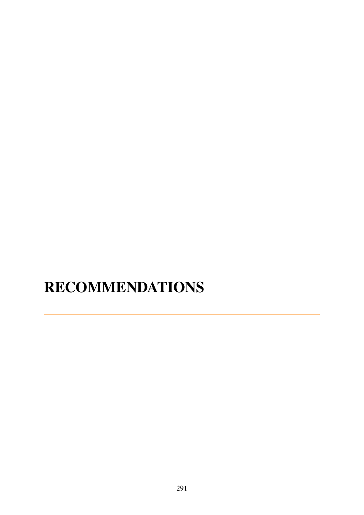## **RECOMMENDATIONS**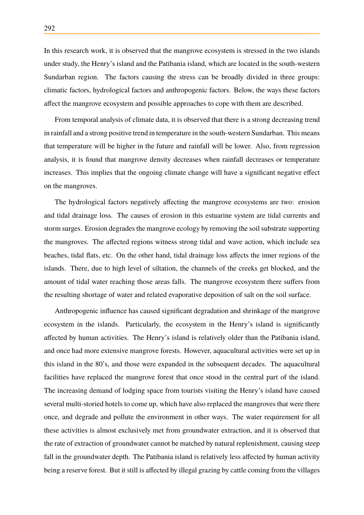In this research work, it is observed that the mangrove ecosystem is stressed in the two islands under study, the Henry's island and the Patibania island, which are located in the south-western Sundarban region. The factors causing the stress can be broadly divided in three groups: climatic factors, hydrological factors and anthropogenic factors. Below, the ways these factors affect the mangrove ecosystem and possible approaches to cope with them are described.

From temporal analysis of climate data, it is observed that there is a strong decreasing trend in rainfall and a strong positive trend in temperature in the south-western Sundarban. This means that temperature will be higher in the future and rainfall will be lower. Also, from regression analysis, it is found that mangrove density decreases when rainfall decreases or temperature increases. This implies that the ongoing climate change will have a significant negative effect on the mangroves.

The hydrological factors negatively affecting the mangrove ecosystems are two: erosion and tidal drainage loss. The causes of erosion in this estuarine system are tidal currents and storm surges. Erosion degrades the mangrove ecology by removing the soil substrate supporting the mangroves. The affected regions witness strong tidal and wave action, which include sea beaches, tidal flats, etc. On the other hand, tidal drainage loss affects the inner regions of the islands. There, due to high level of siltation, the channels of the creeks get blocked, and the amount of tidal water reaching those areas falls. The mangrove ecosystem there suffers from the resulting shortage of water and related evaporative deposition of salt on the soil surface.

Anthropogenic influence has caused significant degradation and shrinkage of the mangrove ecosystem in the islands. Particularly, the ecosystem in the Henry's island is significantly affected by human activities. The Henry's island is relatively older than the Patibania island, and once had more extensive mangrove forests. However, aquacultural activities were set up in this island in the 80's, and those were expanded in the subsequent decades. The aquacultural facilities have replaced the mangrove forest that once stood in the central part of the island. The increasing demand of lodging space from tourists visiting the Henry's island have caused several multi-storied hotels to come up, which have also replaced the mangroves that were there once, and degrade and pollute the environment in other ways. The water requirement for all these activities is almost exclusively met from groundwater extraction, and it is observed that the rate of extraction of groundwater cannot be matched by natural replenishment, causing steep fall in the groundwater depth. The Patibania island is relatively less affected by human activity being a reserve forest. But it still is affected by illegal grazing by cattle coming from the villages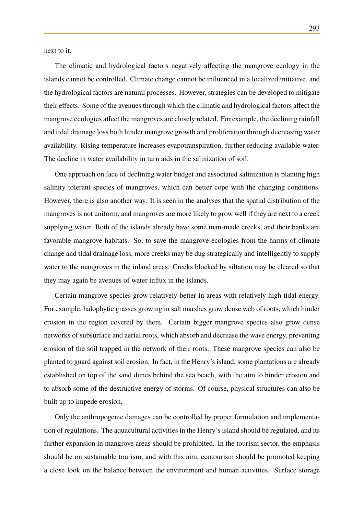next to it.

The climatic and hydrological factors negatively affecting the mangrove ecology in the islands cannot be controlled. Climate change cannot be influenced in a localized initiative, and the hydrological factors are natural processes. However, strategies can be developed to mitigate their effects. Some of the avenues through which the climatic and hydrological factors affect the mangrove ecologies affect the mangroves are closely related. For example, the declining rainfall and tidal drainage loss both hinder mangrove growth and proliferation through decreasing water availability. Rising temperature increases evapotranspiration, further reducing available water. The decline in water availability in turn aids in the salinization of soil.

One approach on face of declining water budget and associated salinization is planting high salinity tolerant species of mangroves, which can better cope with the changing conditions. However, there is also another way. It is seen in the analyses that the spatial distribution of the mangroves is not uniform, and mangroves are more likely to grow well if they are next to a creek supplying water. Both of the islands already have some man-made creeks, and their banks are favorable mangrove habitats. So, to save the mangrove ecologies from the harms of climate change and tidal drainage loss, more creeks may be dug strategically and intelligently to supply water to the mangroves in the inland areas. Creeks blocked by siltation may be cleared so that they may again be avenues of water influx in the islands.

Certain mangrove species grow relatively better in areas with relatively high tidal energy. For example, halophytic grasses growing in salt marshes grow dense web of roots, which hinder erosion in the region covered by them. Certain bigger mangrove species also grow dense networks of subsurface and aerial roots, which absorb and decrease the wave energy, preventing erosion of the soil trapped in the network of their roots. These mangrove species can also be planted to guard against soil erosion. In fact, in the Henry's island, some plantations are already established on top of the sand dunes behind the sea beach, with the aim to hinder erosion and to absorb some of the destructive energy of storms. Of course, physical structures can also be built up to impede erosion.

Only the anthropogenic damages can be controlled by proper formulation and implementation of regulations. The aquacultural activities in the Henry's island should be regulated, and its further expansion in mangrove areas should be prohibited. In the tourism sector, the emphasis should be on sustainable tourism, and with this aim, ecotourism should be promoted keeping a close look on the balance between the environment and human activities. Surface storage